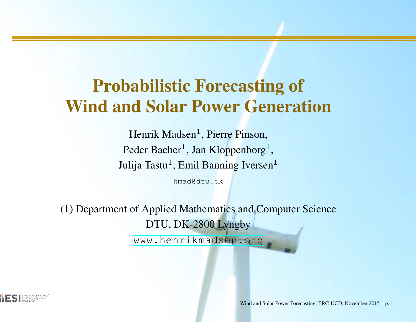## Probabilistic Forecasting ofWind and Solar Power Generation

Henrik Madsen<sup>1</sup>, Pierre Pinson, Peder Bacher<sup>1</sup>, Jan Kloppenborg<sup>1</sup> Julija Tastu<sup>1</sup>, Emil Banning Iversen<sup>1</sup> ,

hmad@dtu.dk

(1) Department of Applied Mathematics and Computer ScienceDTU, DK-2800 Lyngby[www](www.henrikmadsen.org).[henrikmadsen](www.henrikmadsen.org).[o](www.henrikmadsen.org)rg

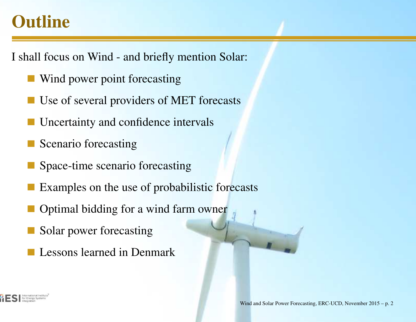### tline

- shall focus on Wind and briefly mention Solar:
	- Wind power point forecasting
	- Use of several providers of MET forecasts
	- Uncertainty and confidence intervals
	- Scenario forecasting
	- Space-time scenario forecasting
	- Examples on the use of probabilistic forecasts
	- Optimal bidding for <sup>a</sup> wind farm owner
	- Solar power forecasting
	- Lessons learned in Denmark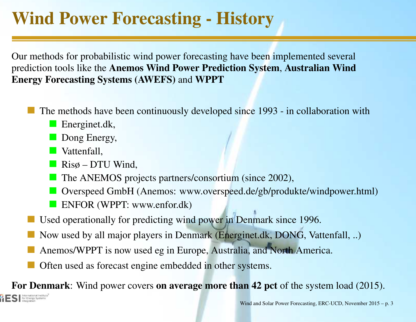# Wind Power Forecasting - History

ur methods for probabilistic wind power forecasting have been implemented several rediction tools like the **Anemos Wind Power Prediction System, Australian Wind** nergy Forecasting Systems (AWEFS) and WPPT

- The methods have been continuously developed since 1993 in collaboration with
	- Energinet.dk,
	- Dong Energy,
	- **Vattenfall,**
	- Risø DTU Wind,
	- The ANEMOS projects partners/consortium (since 2002),
	- Overspeed GmbH (Anemos: www.overspeed.de/gb/produkte/windpower.html)
	- **ENFOR (WPPT: www.enfor.dk)**
- Used operationally for predicting wind power in Denmark since 1996.
- Now used by all major players in Denmark (Energinet.dk, DONG, Vattenfall, ..)
- Anemos/WPPT is now used eg in Europe, Australia, and North America.
- Often used as forecast engine embedded in other systems.

or Denmark: Wind power covers on average more than 42 pct of the system load (2015). for Energy Systems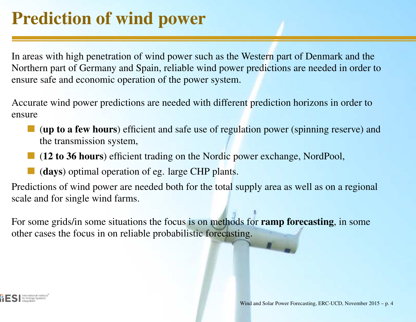# Prediction of wind power

I areas with high penetration of wind power such as the Western part of Denmark and the orthern part of Germany and Spain, reliable wind power predictions are needed in order to n is a safe and economic operation of the power system.

ccurate wind power predictions are needed with different prediction horizons in order to nsure

- (up to <sup>a</sup> few hours) efficient and safe use of regulation power (spinning reserve) andthe transmission system,
- (12 to 36 hours) efficient trading on the Nordic power exchange, NordPool,
- (days) optimal operation of eg. large CHP plants.

redictions of wind power are needed both for the total supply area as well as on a regional rale and for single wind farms.

or some grids/in some situations the focus is on methods for **ramp forecasting**, in some ther cases the focus in on reliable probabilistic forecasting.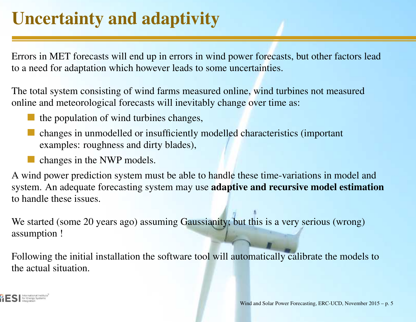# Uncertainty and adaptivity

Errors in MET forecasts will end up in errors in wind power forecasts, but other factors leada need for adaptation which however leads to some uncertainties.

he total system consisting of wind farms measured online, wind turbines not measured online and meteorological forecasts will inevitably change over time as:

- the population of wind turbines changes,
- changes in unmodelled or insufficiently modelled characteristics (importantexamples: roughness and dirty blades),
- changes in the NWP models.

wind power prediction system must be able to handle these time-variations in model and  $\nu$ stem. An adequate forecasting system may use **adaptive and recursive model estimation** handle these issues.

We started (some 20 years ago) assuming Gaussianity; but this is <sup>a</sup> very serious (wrong)sumption !

ollowing the initial installation the software tool will automatically calibrate the models to e actual situation.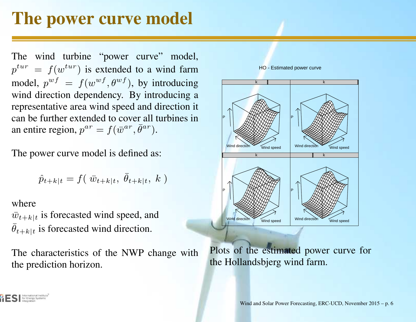#### The power curve model

he wind turbine "power curve" model,  $p_{t}^{tur} = f(w^{tur})$  is extended to a wind farm odel,  $p^{wf} = f(w^{wf}, \theta^{wf})$ , by introducir ind direction dependency. By introducing a  $f(w^{wf}, \theta^{wf})$ , by introducing presentative area wind speed and direction it an be further extended to cover all turbines in n entire region,  $p^{ar} = f(\bar{w}^{ar})$  $\bar{\theta}^{ar}).$ 

he power curve model is defined as:

$$
\hat{p}_{t+k|t} = f(\bar{w}_{t+k|t}, \bar{\theta}_{t+k|t}, k)
$$

here

for Energy System

 $y_{t+k|t}$  is forecasted wind speed, and  $e_{t+k|t}$  is forecasted wind direction.

he characteristics of the NWP change with the prediction horizon.



HO - Estimated power curve

Plots of the estimated power curve forthe Hollandsbjerg wind farm.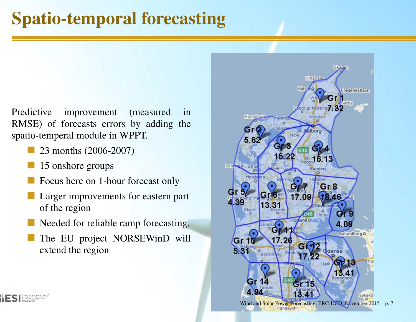# Spatio-temporal forecasting

redictive improvement (measured in MSE) of forecasts errors by adding the patio-temperal module in WPPT.

- 23 months (2006-2007)
- 15 onshore groups
- Focus here on 1-hour forecast only
- Larger improvements for eastern par<sup>t</sup>of the region
- Needed for reliable ramp forecasting.
- The EU project NORSEWinD willextend the region

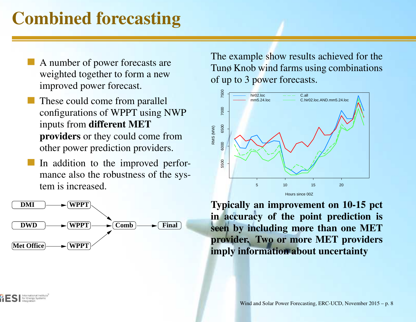## Combined forecasting

- A number of power forecasts are weighted together to form <sup>a</sup> newimproved power forecast.
- These could come from parallelconfigurations of WPPT using NWPinputs from **different MET** providers or they could come fromother power prediction providers.
- In addition to the improved performance also the robustness of the system is increased.



International Institute for Energy Systems

The example show results achieved for the Tunø Knob wind farms using combinationsof up to 3 power forecasts.



Typically an improvement on 10-15 pct in accuracy of the point prediction is seen by including more than one MET provider. Two or more MET providersimply information about uncertainty

Wind and Solar Power Forecasting, ERC-UCD, November 2015 – p. 8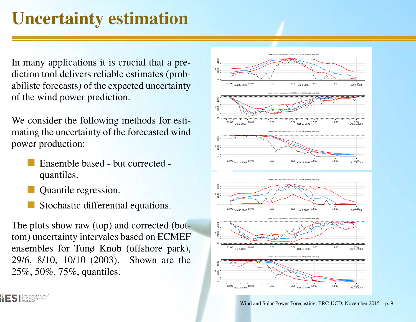# Uncertainty estimation

If many applications it is crucial that a prection tool delivers reliable estimates (probbilistc forecasts) of the expected uncertainty f the wind power prediction.

We consider the following methods for estiating the uncertainty of the forecasted wind power production:

- Ensemble based but corrected quantiles.
- Quantile regression.

International Institute **Thernational Institute**<br>**Theory Systems**<br>Integration

Stochastic differential equations.

he plots show raw (top) and corrected (botm) uncertainty intervales based on ECMEF nsembles for Tunø Knob (offshore park), 29/6, 8/10, 10/10 (2003). Shown are the $5\%, 50\%, 75\%,$  quantiles.

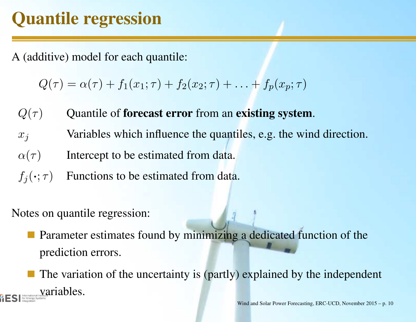# Quantile regression

(additive) model for each quantile:

 $Q(\tau) = \alpha(\tau) + f_1(x_1; \tau) + f_2(x_2; \tau) + \ldots$  $+\ f_p(x_p;\tau)$ 

 $Q(\tau)$ Quantile of forecast error from an existing system.

 $x_j$ Variables which influence the quantiles, e.g. the wind direction.

 $\alpha(\tau)$ Intercept to be estimated from data.

 $f_j(\boldsymbol{\cdot}; \tau)$ Functions to be estimated from data.

Iotes on quantile regression:

Parameter estimates found by minimizing <sup>a</sup> dedicated function of theprediction errors.

The variation of the uncertainty is (partly) explained by the independentvariables.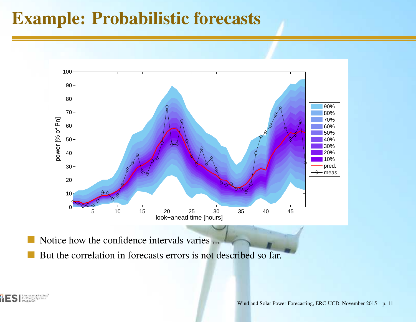#### Example: Probabilistic forecasts



Notice how the confidence intervals varies ...

But the correlation in forecasts errors is not described so far.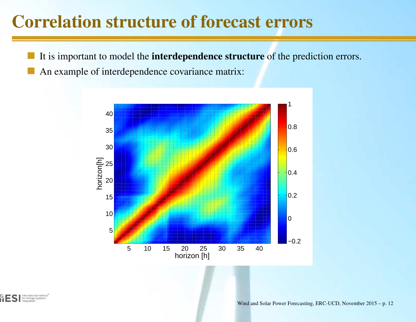#### Correlation structure of forecast errors

- It is important to model the **interdependence structure** of the prediction errors.
- An example of interdependence covariance matrix:



International Institute for Energy Systems Integratio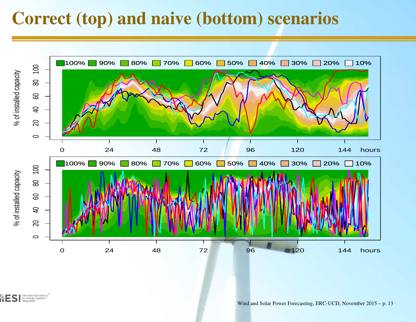#### Correct (top) and naive (bottom) scenarios



International Institute for Energy Systems Integration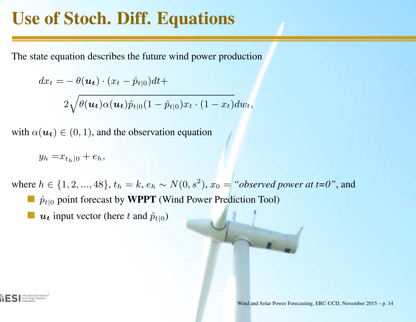## Use of Stoch. Diff. Equations

he state equation describes the future wind power production

$$
dx_t = -\theta(\boldsymbol{u_t}) \cdot (x_t - \hat{p}_{t|0}) dt +
$$

$$
2\sqrt{\theta(\boldsymbol{u_t})\alpha(\boldsymbol{u_t})\hat{p}_{t|0}(1-\hat{p}_{t|0})x_t\cdot(1-x_t)}dw_t,
$$

ith  $\alpha(\boldsymbol{u_t}) \in (0, 1)$ , and the observation equation

$$
y_h = x_{t_h|0} + e_h,
$$

here  $h \in \{1, 2, ..., 48\}, t_h = k, e_h \sim N(0, s^2)$  $\hat{p}_{t|0}$  point forecast by **WPPT** (Wind Power Prediction Tool)  $(x^2)$ ,  $x_0 =$  "*observed power at t=0"*, and

 $\boldsymbol{u_t}$  input vector (here t and  $\hat{p}_{t|0}$ )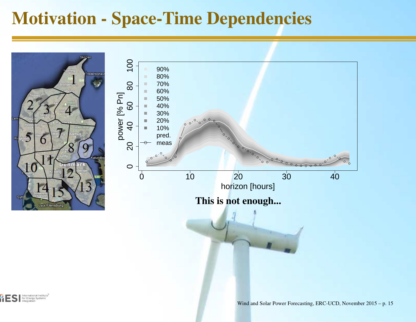#### Motivation - Space-Time Dependencies

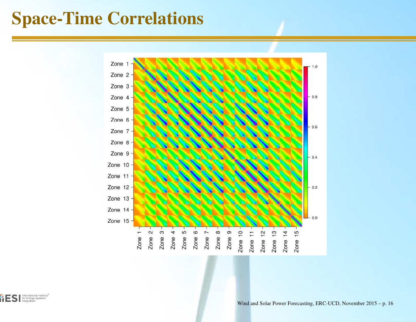### Space-Time Correlations

![](_page_15_Figure_1.jpeg)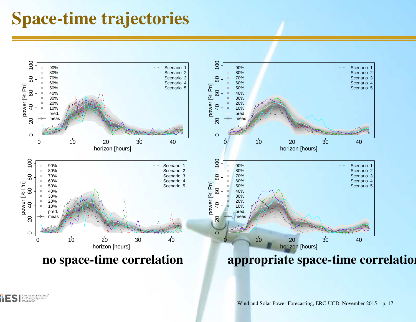#### Space-time trajectories

![](_page_16_Figure_1.jpeg)

International Institute for Energy Systems Integration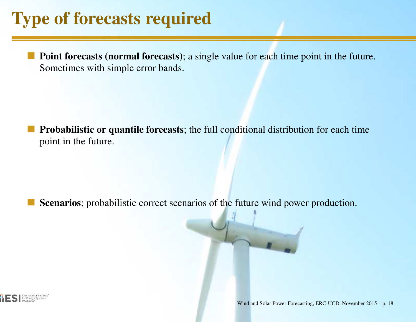## Type of forecasts required

Point forecasts (normal forecasts); <sup>a</sup> single value for each time point in the future. Sometimes with simple error bands.

Probabilistic or quantile forecasts; the full conditional distribution for each timepoint in the future.

Scenarios; probabilistic correct scenarios of the future wind power production.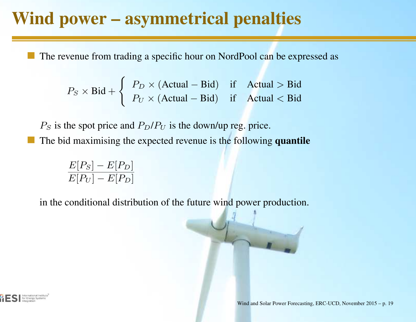#### Wind power – asymmetrical penalties

The revenue from trading <sup>a</sup> specific hour on NordPool can be expressed as

$$
P_S \times \text{Bid} + \begin{cases} P_D \times (\text{Actual} - \text{Bid}) & \text{if } \text{Actual} > \text{Bid} \\ P_U \times (\text{Actual} - \text{Bid}) & \text{if } \text{Actual} < \text{Bid} \end{cases}
$$

 $P_S$  is the spot price and  $P_D/P_U$  is the down/up reg. price. The bid maximising the expected revenue is the following quantile

> $E[P_S] \frac{E[P_S]-E[P_D]}{E[P_U]-E[P_D]}$

in the conditional distribution of the future wind power production.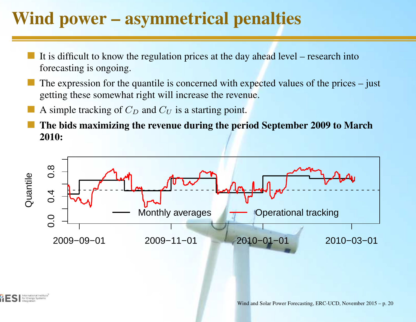## Wind power – asymmetrical penalties

- It is difficult to know the regulation prices at the day ahead level research intoforecasting is ongoing.
- The expression for the quantile is concerned with expected values of the prices justgetting these somewhat right will increase the revenue.
- A simple tracking of  $C_D$  and  $C_U$  is a starting point.
- The bids maximizing the revenue during the period September 2009 to March2010:

![](_page_19_Figure_5.jpeg)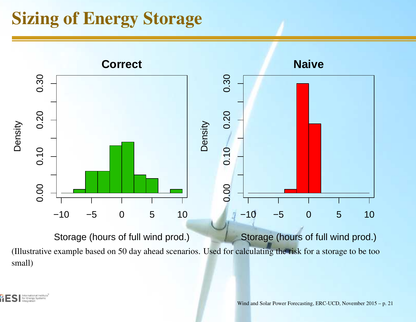### Sizing of Energy Storage

![](_page_20_Figure_1.jpeg)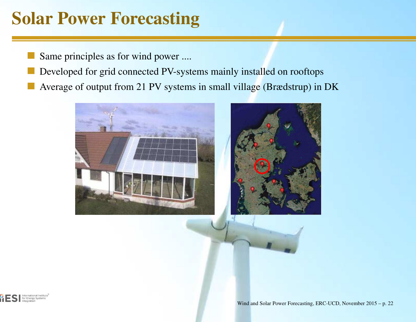## Solar Power Forecasting

Same principles as for wind power ....

- Developed for grid connected PV-systems mainly installed on rooftops
- Average of output from 21 PV systems in small village (Brædstrup) in DK

![](_page_21_Picture_4.jpeg)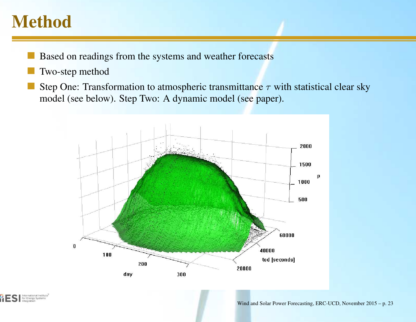#### Method

- Based on readings from the systems and weather forecasts
- Two-step method
- Step One: Transformation to atmospheric transmittance  $\tau$  with statistical clear sky model (see below). Step Two: A dynamic model (see paper).

![](_page_22_Figure_4.jpeg)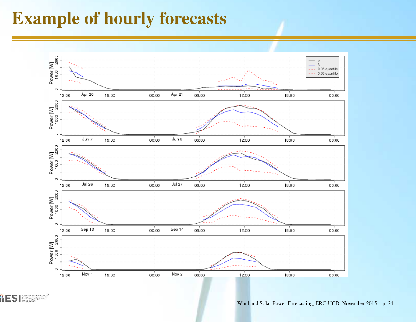#### Example of hourly forecasts

![](_page_23_Figure_1.jpeg)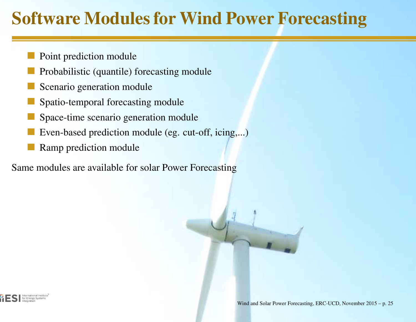## Software Modules for Wind Power Forecasting

- Point prediction module
- Probabilistic (quantile) forecasting module
- Scenario generation module
- Spatio-temporal forecasting module
- Space-time scenario generation module
- Even-based prediction module (eg. cut-off, icing,...)
- Ramp prediction module

ame modules are available for solar Power Forecasting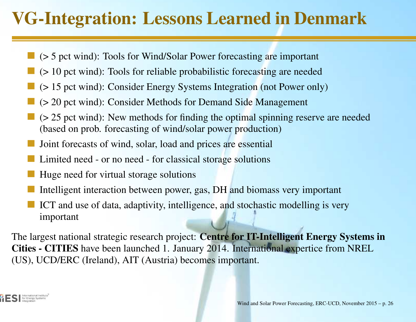# VG-Integration: Lessons Learned in Denmark

- (> 5 pc<sup>t</sup> wind): Tools for Wind/Solar Power forecasting are important
- (> 10 pc<sup>t</sup> wind): Tools for reliable probabilistic forecasting are needed
- (> 15 pc<sup>t</sup> wind): Consider Energy Systems Integration (not Power only)
- (> 20 pc<sup>t</sup> wind): Consider Methods for Demand Side Management
- (> 25 pc<sup>t</sup> wind): New methods for finding the optimal spinning reserve are needed(based on prob. forecasting of wind/solar power production)
- Joint forecasts of wind, solar, load and prices are essential
- Limited need or no need for classical storage solutions
- Huge need for virtual storage solutions
- Intelligent interaction between power, gas, DH and biomass very important
- ICT and use of data, adaptivity, intelligence, and stochastic modelling is veryimportant

he largest national strategic research project: **Centre for IT-Intelligent Energy Systems in** ities - CITIES have been launched 1. January 2014. International expertice from NREL JS), UCD/ERC (Ireland), AIT (Austria) becomes important.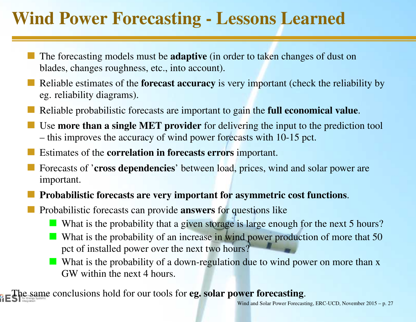## Wind Power Forecasting - Lessons Learned

- The forecasting models must be **adaptive** (in order to taken changes of dust on blades, changes roughness, etc., into account).
- Reliable estimates of the **forecast accuracy** is very important (check the reliability by eg. reliability diagrams).
- Reliable probabilistic forecasts are important to gai<mark>n the full economical value</mark>.
- Use **more than a single MET provider** for delivering the input to the prediction tool this improves the accuracy of wind power forecasts with 10-15 pct.
- Estimates of the **correlation in forecasts errors** important.
- Forecasts of 'cross dependencies' between load, prices, wind and solar power areimportant.
- Probabilistic forecasts are very important for asymmetric cost functions.
- Probabilistic forecasts can provide **answers** for questions like
	- What is the probability that a given storage is large enough for the next 5 hours?
	- What is the probability of an increase in wind power production of more that 50 pc<sup>t</sup> of installed power over the next two hours?
	- What is the probability of a down-regulation due to wind power on more than  $x$ GW within the next 4 hours.

**he same conclusions hold for our tools for eg. solar power forecasting.**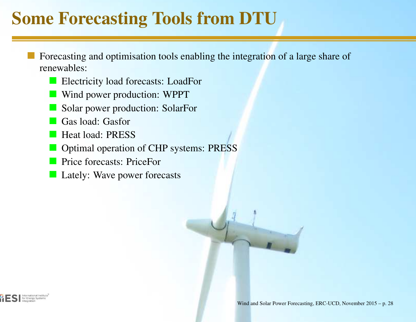# Some Forecasting Tools from DTU

- Forecasting and optimisation tools enabling the integration of <sup>a</sup> large share ofrenewables:
	- **Electricity load forecasts: LoadFor**
	- **Wind power production: WPPT**
	- Solar power production: SolarFor
	- Gas load: Gasfor
	- **Heat load: PRESS**
	- Optimal operation of CHP systems: PRESS
	- **Price forecasts: PriceFor**
	- **Lately: Wave power forecasts**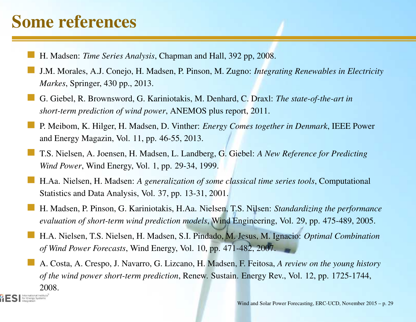# Some references

for Energy Systems

- H. Madsen: *Time Series Analysis*, Chapman and Hall, 392 pp, 2008.
- J.M. Morales, A.J. Conejo, H. Madsen, P. Pinson, M. Zugno: *Integrating Renewables in ElectricityMarkes*, Springer, 430 pp., 2013.
- G. Giebel, R. Brownsword, G. Kariniotakis, M. Denhard, C. Draxl: *The state-of-the-art inshort-term prediction of wind power*, ANEMOS plus report, 2011.
- P. Meibom, K. Hilger, H. Madsen, D. Vinther: *Energy Comes together in Denmark*, IEEE Powerand Energy Magazin, Vol. 11, pp. 46-55, 2013.
- T.S. Nielsen, A. Joensen, H. Madsen, L. Landberg, G. Giebel: *<sup>A</sup> New Reference for PredictingWind Power*, Wind Energy, Vol. 1, pp. 29-34, 1999.
- H.Aa. Nielsen, H. Madsen: *<sup>A</sup> generalization of some classical time series tools*, Computational Statistics and Data Analysis, Vol. 37, pp. 13-31, 2001.
- H. Madsen, P. Pinson, G. Kariniotakis, H.Aa. Nielsen, T.S. Nilsen: *Standardizing the performanceevaluation of short-term wind prediction models*, Wind Engineering, Vol. 29, pp. 475-489, 2005.
- H.A. Nielsen, T.S. Nielsen, H. Madsen, S.I. Pindado, M. Jesus, M. Ignacio: *Optimal Combinationof Wind Power Forecasts*, Wind Energy, Vol. 10, pp. 471-482, 2007.

A. Costa, A. Crespo, J. Navarro, G. Lizcano, H. Madsen, F. Feitosa, *A review on the young historyof the wind power short-term prediction*, Renew. Sustain. Energy Rev., Vol. 12, pp. 1725-1744, 2008.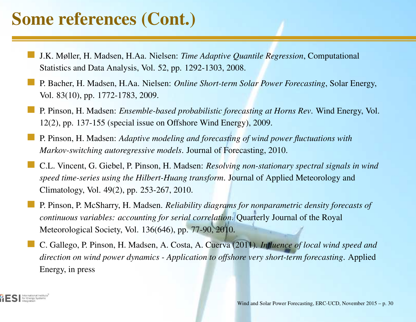## Some references (Cont.)

- J.K. Møller, H. Madsen, H.Aa. Nielsen: *Time Adaptive Quantile Regression*, Computational Statistics and Data Analysis, Vol. 52, pp. 1292-1303, 2008.
- P. Bacher, H. Madsen, H.Aa. Nielsen: *Online Short-term Solar Power Forecasting*, Solar Energy, Vol. 83(10), pp. 1772-1783, 2009.
- P. Pinson, H. Madsen: *Ensemble-based probabilistic forecasting at Horns Rev*. Wind Energy, Vol. 12(2), pp. 137-155 (special issue on Offshore Wind Energy), 2009.
- P. Pinson, H. Madsen: *Adaptive modeling and forecasting of wind power fluctuations withMarkov-switching autoregressive models*. Journal of Forecasting, 2010.
- C.L. Vincent, G. Giebel, P. Pinson, H. Madsen: *Resolving non-stationary spectral signals in windspeed time-series using the Hilbert-Huang transform*. Journal of Applied Meteorology andClimatology, Vol. 49(2), pp. 253-267, 2010.
- P. Pinson, P. McSharry, H. Madsen. *Reliability diagrams for nonparametric density forecasts of continuous variables: accounting for serial correlation*. Quarterly Journal of the Royal Meteorological Society, Vol. 136(646), pp. 77-90, 2010.
- C. Gallego, P. Pinson, H. Madsen, A. Costa, A. Cuerva (2011). *Influence of local wind speed and*direction on wind power dynamics - Application to offshore very short-term forecasting. Applied Energy, in press